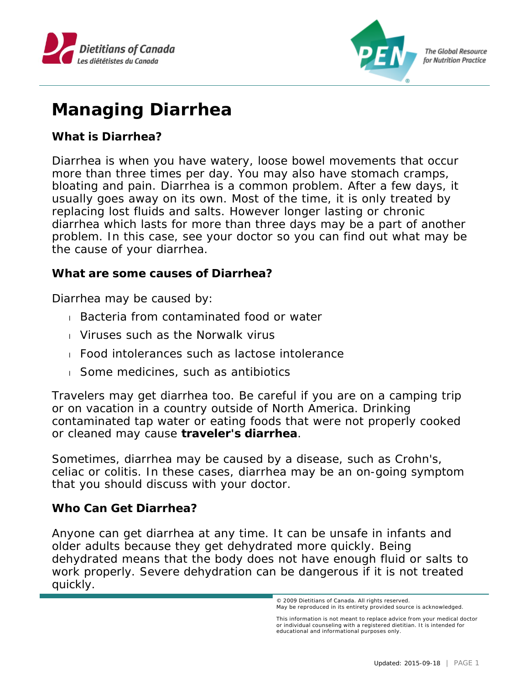



## **Managing Diarrhea**

**What is Diarrhea?**

Diarrhea is when you have watery, loose bowel movements that occur more than three times per day. You may also have stomach cramps, bloating and pain. Diarrhea is a common problem. After a few days, it usually goes away on its own. Most of the time, it is only treated by replacing lost fluids and salts. However longer lasting or chronic diarrhea which lasts for more than three days may be a part of another problem. In this case, see your doctor so you can find out what may be the cause of your diarrhea.

**What are some causes of Diarrhea?** 

Diarrhea may be caused by:

- Bacteria from contaminated food or water
- Viruses such as the Norwalk virus
- Food intolerances such as lactose intolerance
- Some medicines, such as antibiotics

Travelers may get diarrhea too. Be careful if you are on a camping trip or on vacation in a country outside of North America. Drinking contaminated tap water or eating foods that were not properly cooked or cleaned may cause **traveler's diarrhea**.

Sometimes, diarrhea may be caused by a disease, such as Crohn's, celiac or colitis. In these cases, diarrhea may be an on-going symptom that you should discuss with your doctor.

**Who Can Get Diarrhea?**

Anyone can get diarrhea at any time. It can be unsafe in infants and older adults because they get dehydrated more quickly. Being dehydrated means that the body does not have enough fluid or salts to work properly. Severe dehydration can be dangerous if it is not treated quickly.

<sup>© 2009</sup> Dietitians of Canada. All rights reserved. May be reproduced in its entirety provided source is acknowledged.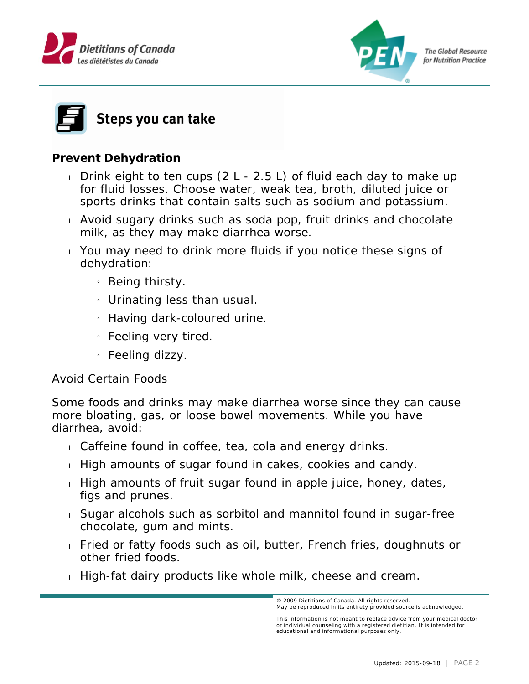





**Prevent Dehydration**

- Drink eight to ten cups  $(2 L 2.5 L)$  of fluid each day to make up for fluid losses. Choose water, weak tea, broth, diluted juice or sports drinks that contain salts such as sodium and potassium.
- Avoid sugary drinks such as soda pop, fruit drinks and chocolate milk, as they may make diarrhea worse.
- You may need to drink more fluids if you notice these signs of dehydration:
	- » Being thirsty.
	- $\mu$  Urinating less than usual.
	- » Having dark-coloured urine.
	- » Feeling very tired.
	- » Feeling dizzy.

## Avoid Certain Foods

Some foods and drinks may make diarrhea worse since they can cause more bloating, gas, or loose bowel movements. While you have diarrhea, avoid:

- Caffeine found in coffee, tea, cola and energy drinks.
- $\pm$  High amounts of sugar found in cakes, cookies and candy.
- $\pm$  High amounts of fruit sugar found in apple juice, honey, dates, figs and prunes.
- Sugar alcohols such as sorbitol and mannitol found in sugar-free chocolate, gum and mints.
- Fried or fatty foods such as oil, butter, French fries, doughnuts or other fried foods.
- High-fat dairy products like whole milk, cheese and cream.

© 2009 Dietitians of Canada. All rights reserved. May be reproduced in its entirety provided source is acknowledged.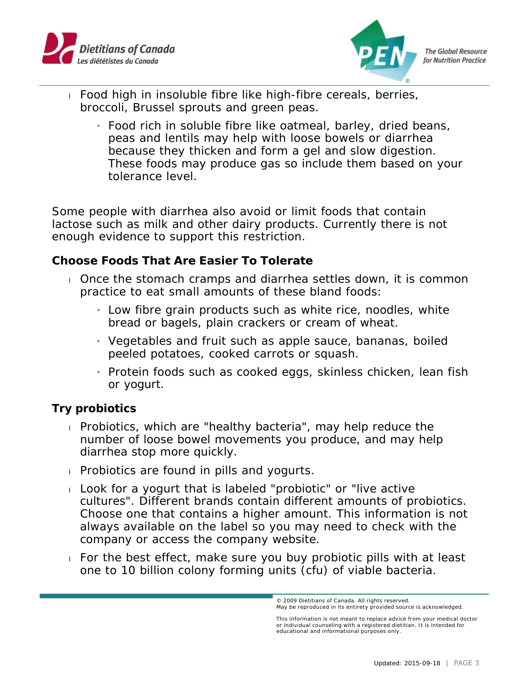



- Food high in insoluble fibre like high-fibre cereals, berries, broccoli, Brussel sprouts and green peas.
	- » Food rich in soluble fibre like oatmeal, barley, dried beans, peas and lentils may help with loose bowels or diarrhea because they thicken and form a gel and slow digestion. These foods may produce gas so include them based on your tolerance level.

Some people with diarrhea also avoid or limit foods that contain lactose such as milk and other dairy products. Currently there is not enough evidence to support this restriction.

**Choose Foods That Are Easier To Tolerate**

- Once the stomach cramps and diarrhea settles down, it is common practice to eat small amounts of these bland foods:
	- $_1$  Low fibre grain products such as white rice, noodles, white bread or bagels, plain crackers or cream of wheat.
	- » Vegetables and fruit such as apple sauce, bananas, boiled peeled potatoes, cooked carrots or squash.
	- » Protein foods such as cooked eggs, skinless chicken, lean fish or yogurt.

**Try probiotics**

- Probiotics, which are "healthy bacteria", may help reduce the number of loose bowel movements you produce, and may help diarrhea stop more quickly.
- **Probiotics are found in pills and yogurts.**
- Look for a yogurt that is labeled "probiotic" or "live active cultures". Different brands contain different amounts of probiotics. Choose one that contains a higher amount. This information is not always available on the label so you may need to check with the company or access the company website.
- For the best effect, make sure you buy probiotic pills with at least one to 10 billion colony forming units (cfu) of viable bacteria.

<sup>© 2009</sup> Dietitians of Canada. All rights reserved. May be reproduced in its entirety provided source is acknowledged.

This information is not meant to replace advice from your medical doctor or individual counseling with a registered dietitian. It is intended for educational and informational purposes only.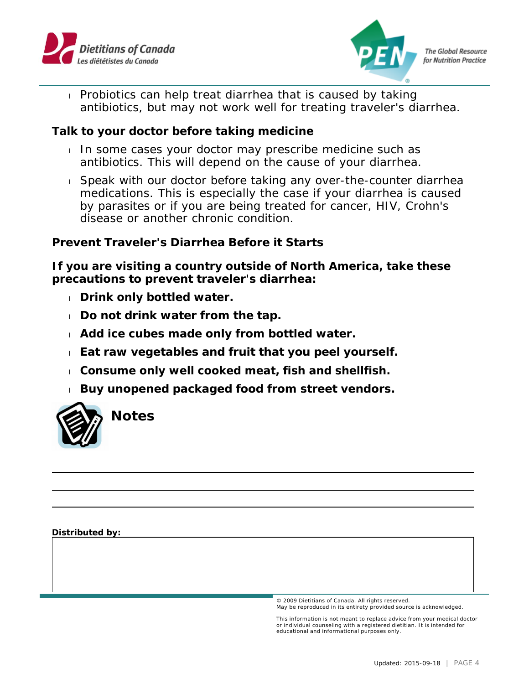



 Probiotics can help treat diarrhea that is caused by taking antibiotics, but may not work well for treating traveler's diarrhea.

**Talk to your doctor before taking medicine**

- In some cases your doctor may prescribe medicine such as antibiotics. This will depend on the cause of your diarrhea.
- Speak with our doctor before taking any over-the-counter diarrhea medications. This is especially the case if your diarrhea is caused by parasites or if you are being treated for cancer, HIV, Crohn's disease or another chronic condition.

**Prevent Traveler's Diarrhea Before it Starts**

**If you are visiting a country outside of North America, take these precautions to prevent traveler's diarrhea:**

- **Drink only bottled water.**
- **Do not drink water from the tap.**
- **Add ice cubes made only from bottled water.**
- **Eat raw vegetables and fruit that you peel yourself.**
- **Consume only well cooked meat, fish and shellfish.**
- **Buy unopened packaged food from street vendors.**



**Notes**

**Distributed by:**

© 2009 Dietitians of Canada. All rights reserved. May be reproduced in its entirety provided source is acknowledged.